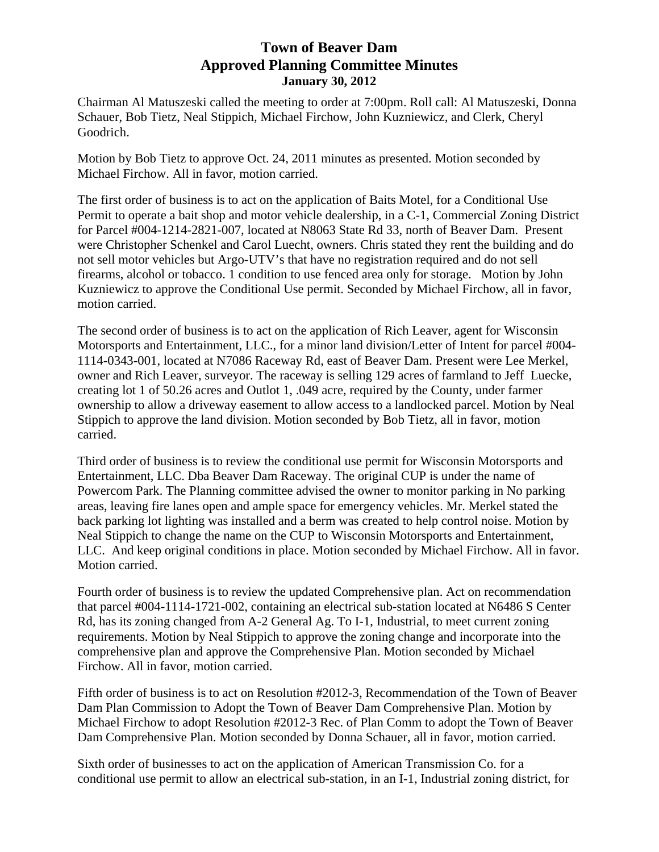## **Town of Beaver Dam Approved Planning Committee Minutes January 30, 2012**

Chairman Al Matuszeski called the meeting to order at 7:00pm. Roll call: Al Matuszeski, Donna Schauer, Bob Tietz, Neal Stippich, Michael Firchow, John Kuzniewicz, and Clerk, Cheryl Goodrich.

Motion by Bob Tietz to approve Oct. 24, 2011 minutes as presented. Motion seconded by Michael Firchow. All in favor, motion carried.

The first order of business is to act on the application of Baits Motel, for a Conditional Use Permit to operate a bait shop and motor vehicle dealership, in a C-1, Commercial Zoning District for Parcel #004-1214-2821-007, located at N8063 State Rd 33, north of Beaver Dam. Present were Christopher Schenkel and Carol Luecht, owners. Chris stated they rent the building and do not sell motor vehicles but Argo-UTV's that have no registration required and do not sell firearms, alcohol or tobacco. 1 condition to use fenced area only for storage. Motion by John Kuzniewicz to approve the Conditional Use permit. Seconded by Michael Firchow, all in favor, motion carried.

The second order of business is to act on the application of Rich Leaver, agent for Wisconsin Motorsports and Entertainment, LLC., for a minor land division/Letter of Intent for parcel #004- 1114-0343-001, located at N7086 Raceway Rd, east of Beaver Dam. Present were Lee Merkel, owner and Rich Leaver, surveyor. The raceway is selling 129 acres of farmland to Jeff Luecke, creating lot 1 of 50.26 acres and Outlot 1, .049 acre, required by the County, under farmer ownership to allow a driveway easement to allow access to a landlocked parcel. Motion by Neal Stippich to approve the land division. Motion seconded by Bob Tietz, all in favor, motion carried.

Third order of business is to review the conditional use permit for Wisconsin Motorsports and Entertainment, LLC. Dba Beaver Dam Raceway. The original CUP is under the name of Powercom Park. The Planning committee advised the owner to monitor parking in No parking areas, leaving fire lanes open and ample space for emergency vehicles. Mr. Merkel stated the back parking lot lighting was installed and a berm was created to help control noise. Motion by Neal Stippich to change the name on the CUP to Wisconsin Motorsports and Entertainment, LLC. And keep original conditions in place. Motion seconded by Michael Firchow. All in favor. Motion carried.

Fourth order of business is to review the updated Comprehensive plan. Act on recommendation that parcel #004-1114-1721-002, containing an electrical sub-station located at N6486 S Center Rd, has its zoning changed from A-2 General Ag. To I-1, Industrial, to meet current zoning requirements. Motion by Neal Stippich to approve the zoning change and incorporate into the comprehensive plan and approve the Comprehensive Plan. Motion seconded by Michael Firchow. All in favor, motion carried.

Fifth order of business is to act on Resolution #2012-3, Recommendation of the Town of Beaver Dam Plan Commission to Adopt the Town of Beaver Dam Comprehensive Plan. Motion by Michael Firchow to adopt Resolution #2012-3 Rec. of Plan Comm to adopt the Town of Beaver Dam Comprehensive Plan. Motion seconded by Donna Schauer, all in favor, motion carried.

Sixth order of businesses to act on the application of American Transmission Co. for a conditional use permit to allow an electrical sub-station, in an I-1, Industrial zoning district, for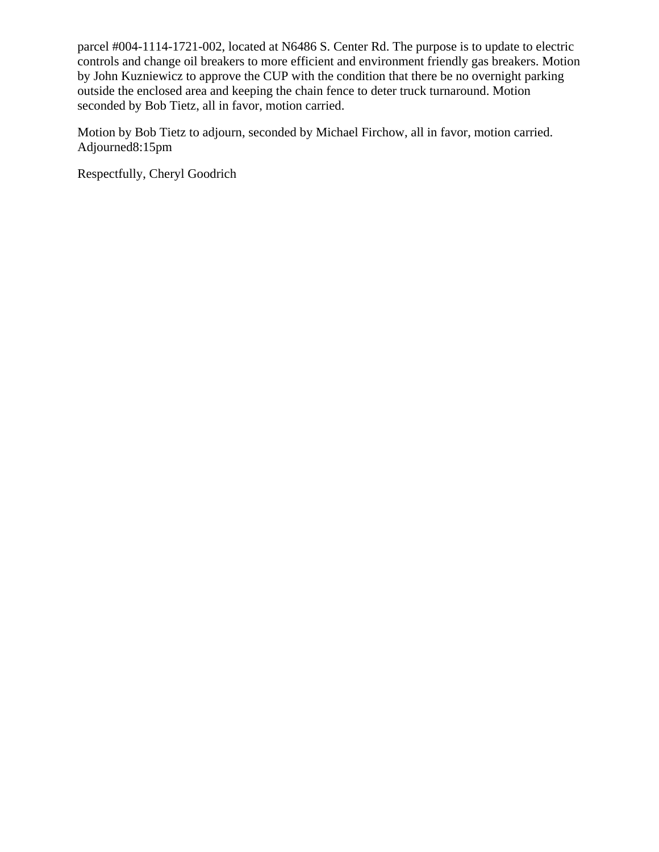parcel #004-1114-1721-002, located at N6486 S. Center Rd. The purpose is to update to electric controls and change oil breakers to more efficient and environment friendly gas breakers. Motion by John Kuzniewicz to approve the CUP with the condition that there be no overnight parking outside the enclosed area and keeping the chain fence to deter truck turnaround. Motion seconded by Bob Tietz, all in favor, motion carried.

Motion by Bob Tietz to adjourn, seconded by Michael Firchow, all in favor, motion carried. Adjourned8:15pm

Respectfully, Cheryl Goodrich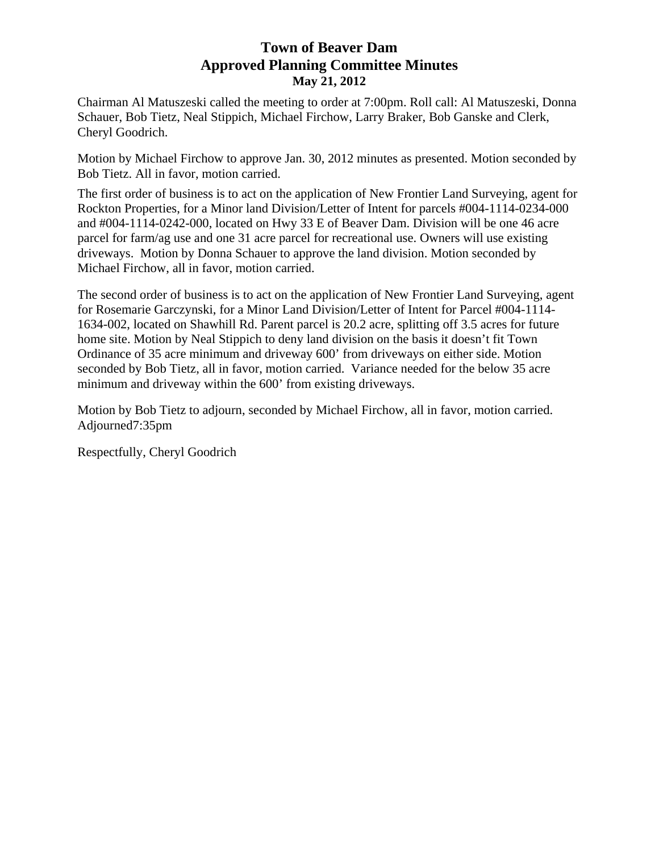# **Town of Beaver Dam Approved Planning Committee Minutes May 21, 2012**

Chairman Al Matuszeski called the meeting to order at 7:00pm. Roll call: Al Matuszeski, Donna Schauer, Bob Tietz, Neal Stippich, Michael Firchow, Larry Braker, Bob Ganske and Clerk, Cheryl Goodrich.

Motion by Michael Firchow to approve Jan. 30, 2012 minutes as presented. Motion seconded by Bob Tietz. All in favor, motion carried.

The first order of business is to act on the application of New Frontier Land Surveying, agent for Rockton Properties, for a Minor land Division/Letter of Intent for parcels #004-1114-0234-000 and #004-1114-0242-000, located on Hwy 33 E of Beaver Dam. Division will be one 46 acre parcel for farm/ag use and one 31 acre parcel for recreational use. Owners will use existing driveways. Motion by Donna Schauer to approve the land division. Motion seconded by Michael Firchow, all in favor, motion carried.

The second order of business is to act on the application of New Frontier Land Surveying, agent for Rosemarie Garczynski, for a Minor Land Division/Letter of Intent for Parcel #004-1114- 1634-002, located on Shawhill Rd. Parent parcel is 20.2 acre, splitting off 3.5 acres for future home site. Motion by Neal Stippich to deny land division on the basis it doesn't fit Town Ordinance of 35 acre minimum and driveway 600' from driveways on either side. Motion seconded by Bob Tietz, all in favor, motion carried. Variance needed for the below 35 acre minimum and driveway within the 600' from existing driveways.

Motion by Bob Tietz to adjourn, seconded by Michael Firchow, all in favor, motion carried. Adjourned7:35pm

Respectfully, Cheryl Goodrich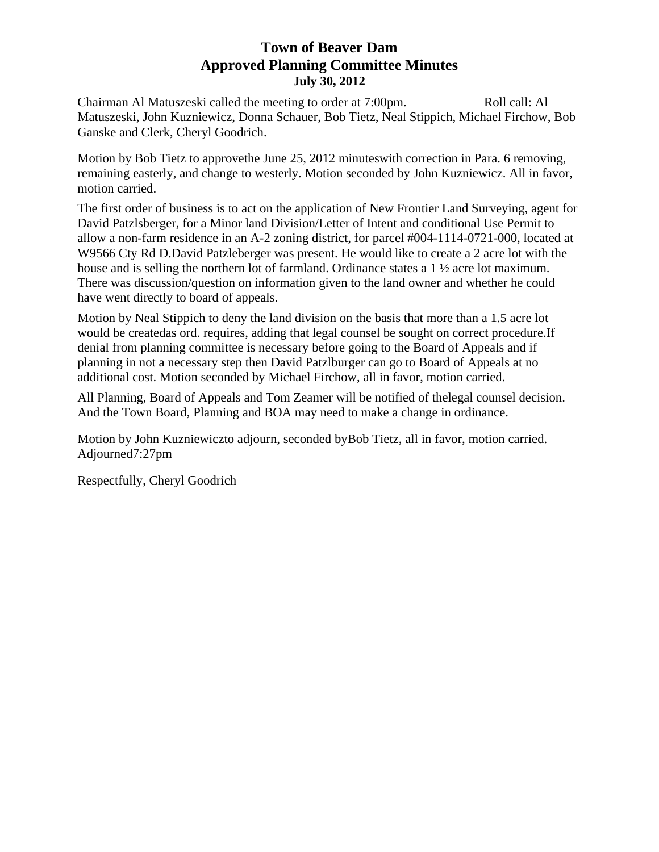# **Town of Beaver Dam Approved Planning Committee Minutes July 30, 2012**

Chairman Al Matuszeski called the meeting to order at 7:00pm. Roll call: Al Matuszeski, John Kuzniewicz, Donna Schauer, Bob Tietz, Neal Stippich, Michael Firchow, Bob Ganske and Clerk, Cheryl Goodrich.

Motion by Bob Tietz to approvethe June 25, 2012 minuteswith correction in Para. 6 removing, remaining easterly, and change to westerly. Motion seconded by John Kuzniewicz. All in favor, motion carried.

The first order of business is to act on the application of New Frontier Land Surveying, agent for David Patzlsberger, for a Minor land Division/Letter of Intent and conditional Use Permit to allow a non-farm residence in an A-2 zoning district, for parcel #004-1114-0721-000, located at W9566 Cty Rd D.David Patzleberger was present. He would like to create a 2 acre lot with the house and is selling the northern lot of farmland. Ordinance states a 1 ½ acre lot maximum. There was discussion/question on information given to the land owner and whether he could have went directly to board of appeals.

Motion by Neal Stippich to deny the land division on the basis that more than a 1.5 acre lot would be createdas ord. requires, adding that legal counsel be sought on correct procedure.If denial from planning committee is necessary before going to the Board of Appeals and if planning in not a necessary step then David Patzlburger can go to Board of Appeals at no additional cost. Motion seconded by Michael Firchow, all in favor, motion carried.

All Planning, Board of Appeals and Tom Zeamer will be notified of thelegal counsel decision. And the Town Board, Planning and BOA may need to make a change in ordinance.

Motion by John Kuzniewiczto adjourn, seconded byBob Tietz, all in favor, motion carried. Adjourned7:27pm

Respectfully, Cheryl Goodrich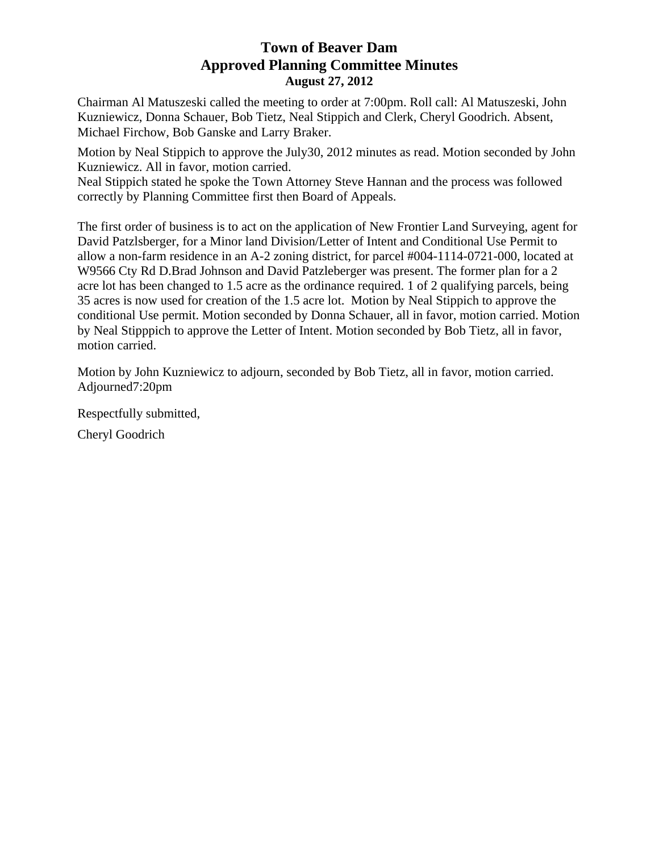## **Town of Beaver Dam Approved Planning Committee Minutes August 27, 2012**

Chairman Al Matuszeski called the meeting to order at 7:00pm. Roll call: Al Matuszeski, John Kuzniewicz, Donna Schauer, Bob Tietz, Neal Stippich and Clerk, Cheryl Goodrich. Absent, Michael Firchow, Bob Ganske and Larry Braker.

Motion by Neal Stippich to approve the July30, 2012 minutes as read. Motion seconded by John Kuzniewicz. All in favor, motion carried.

Neal Stippich stated he spoke the Town Attorney Steve Hannan and the process was followed correctly by Planning Committee first then Board of Appeals.

The first order of business is to act on the application of New Frontier Land Surveying, agent for David Patzlsberger, for a Minor land Division/Letter of Intent and Conditional Use Permit to allow a non-farm residence in an A-2 zoning district, for parcel #004-1114-0721-000, located at W9566 Cty Rd D.Brad Johnson and David Patzleberger was present. The former plan for a 2 acre lot has been changed to 1.5 acre as the ordinance required. 1 of 2 qualifying parcels, being 35 acres is now used for creation of the 1.5 acre lot. Motion by Neal Stippich to approve the conditional Use permit. Motion seconded by Donna Schauer, all in favor, motion carried. Motion by Neal Stipppich to approve the Letter of Intent. Motion seconded by Bob Tietz, all in favor, motion carried.

Motion by John Kuzniewicz to adjourn, seconded by Bob Tietz, all in favor, motion carried. Adjourned7:20pm

Respectfully submitted,

Cheryl Goodrich